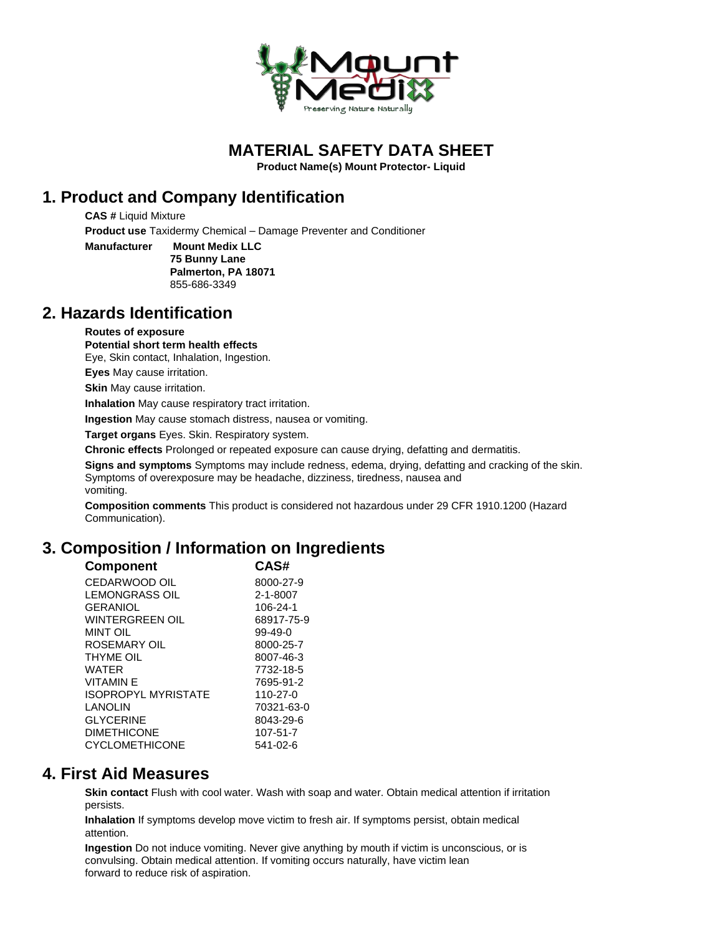

**MATERIAL SAFETY DATA SHEET**

**Product Name(s) Mount Protector- Liquid**

# **1. Product and Company Identification**

**CAS #** Liquid Mixture **Product use** Taxidermy Chemical – Damage Preventer and Conditioner

**Manufacturer Mount Medix LLC 75 Bunny Lane Palmerton, PA 18071** 855-686-3349

#### **2. Hazards Identification**

#### **Routes of exposure**

**Potential short term health effects**

Eye, Skin contact, Inhalation, Ingestion.

**Eyes** May cause irritation.

**Skin** May cause irritation.

**Inhalation** May cause respiratory tract irritation.

**Ingestion** May cause stomach distress, nausea or vomiting.

**Target organs** Eyes. Skin. Respiratory system.

**Chronic effects** Prolonged or repeated exposure can cause drying, defatting and dermatitis.

**Signs and symptoms** Symptoms may include redness, edema, drying, defatting and cracking of the skin. Symptoms of overexposure may be headache, dizziness, tiredness, nausea and vomiting.

**Composition comments** This product is considered not hazardous under 29 CFR 1910.1200 (Hazard Communication).

# **3. Composition / Information on Ingredients**

| <b>Component</b>           | CAS#          |
|----------------------------|---------------|
| CEDARWOOD OIL              | 8000-27-9     |
| LEMONGRASS OIL             | 2-1-8007      |
| <b>GERANIOL</b>            | 106-24-1      |
| <b>WINTERGREEN OIL</b>     | 68917-75-9    |
| MINT OIL                   | $99 - 49 - 0$ |
| ROSEMARY OIL               | 8000-25-7     |
| THYME OIL                  | 8007-46-3     |
| WATER                      | 7732-18-5     |
| VITAMIN F                  | 7695-91-2     |
| <b>ISOPROPYL MYRISTATE</b> | 110-27-0      |
| LANOLIN                    | 70321-63-0    |
| <b>GLYCERINE</b>           | 8043-29-6     |
| <b>DIMETHICONE</b>         | 107-51-7      |
| <b>CYCLOMETHICONE</b>      | 541-02-6      |

#### **4. First Aid Measures**

**Skin contact** Flush with cool water. Wash with soap and water. Obtain medical attention if irritation persists.

**Inhalation** If symptoms develop move victim to fresh air. If symptoms persist, obtain medical attention.

**Ingestion** Do not induce vomiting. Never give anything by mouth if victim is unconscious, or is convulsing. Obtain medical attention. If vomiting occurs naturally, have victim lean forward to reduce risk of aspiration.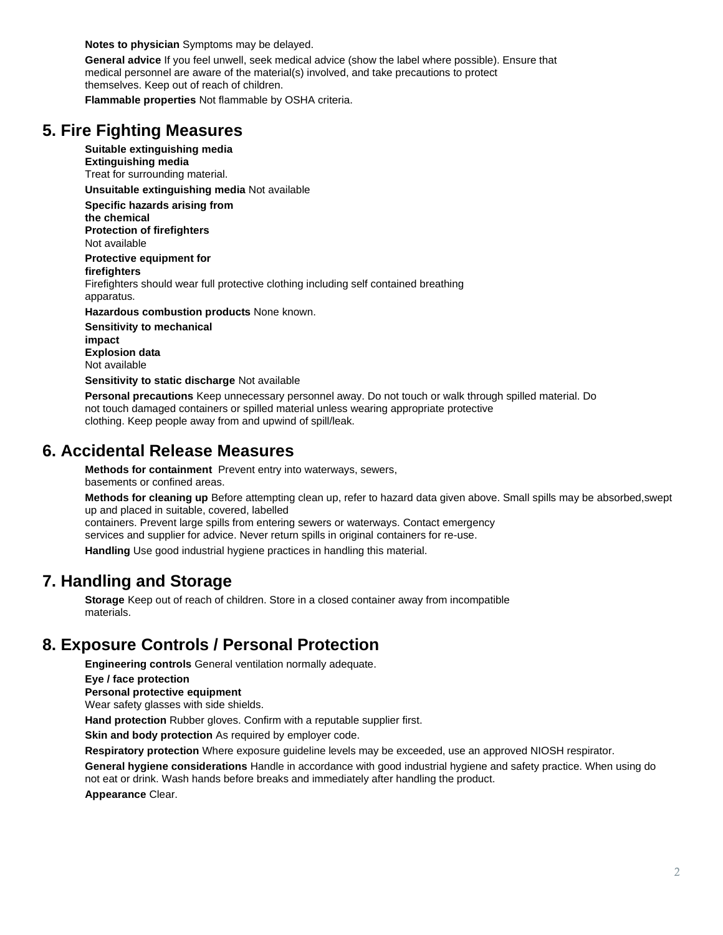**Notes to physician** Symptoms may be delayed.

**General advice** If you feel unwell, seek medical advice (show the label where possible). Ensure that medical personnel are aware of the material(s) involved, and take precautions to protect themselves. Keep out of reach of children.

**Flammable properties** Not flammable by OSHA criteria.

### **5. Fire Fighting Measures**

**Suitable extinguishing media Extinguishing media** Treat for surrounding material.

**Unsuitable extinguishing media** Not available

**Specific hazards arising from the chemical**

**Protection of firefighters** Not available

**Protective equipment for**

**firefighters**

Firefighters should wear full protective clothing including self contained breathing apparatus.

**Hazardous combustion products** None known.

**Sensitivity to mechanical impact Explosion data** Not available

**Sensitivity to static discharge** Not available

**Personal precautions** Keep unnecessary personnel away. Do not touch or walk through spilled material. Do not touch damaged containers or spilled material unless wearing appropriate protective clothing. Keep people away from and upwind of spill/leak.

#### **6. Accidental Release Measures**

**Methods for containment** Prevent entry into waterways, sewers, basements or confined areas.

**Methods for cleaning up** Before attempting clean up, refer to hazard data given above. Small spills may be absorbed,swept up and placed in suitable, covered, labelled

containers. Prevent large spills from entering sewers or waterways. Contact emergency

services and supplier for advice. Never return spills in original containers for re-use.

**Handling** Use good industrial hygiene practices in handling this material.

#### **7. Handling and Storage**

**Storage** Keep out of reach of children. Store in a closed container away from incompatible materials.

#### **8. Exposure Controls / Personal Protection**

**Engineering controls** General ventilation normally adequate.

**Eye / face protection**

**Personal protective equipment**

Wear safety glasses with side shields.

**Hand protection** Rubber gloves. Confirm with a reputable supplier first.

**Skin and body protection** As required by employer code.

**Respiratory protection** Where exposure guideline levels may be exceeded, use an approved NIOSH respirator.

**General hygiene considerations** Handle in accordance with good industrial hygiene and safety practice. When using do not eat or drink. Wash hands before breaks and immediately after handling the product.

**Appearance** Clear.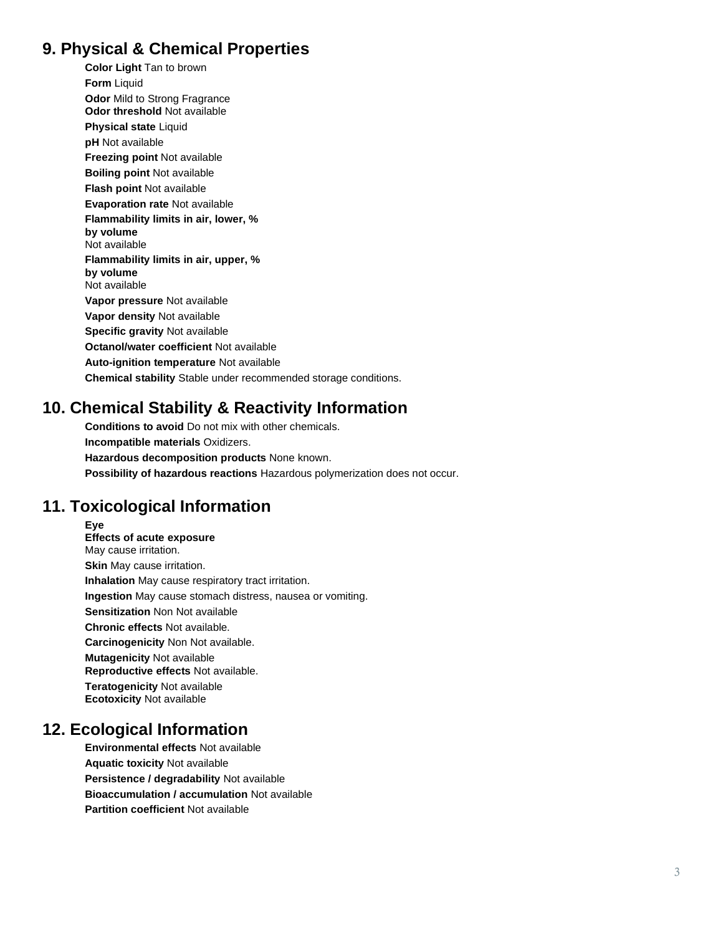# **9. Physical & Chemical Properties**

**Color Light**  Tan to brown **Form** Liquid **Odor Mild to Strong Fragrance Odor threshold** Not available **Physical state** Liquid **pH** Not available **Freezing point** Not available **Boiling point** Not available **Flash point** Not available **Evaporation rate** Not available **Flammability limits in air, lower, % by volume** Not available **Flammability limits in air, upper, % by volume** Not available **Vapor pressure** Not available **Vapor density** Not available **Specific gravity** Not available **Octanol/water coefficient** Not available **Auto -ignition temperature** Not available **Chemical stability** Stable under recommended storage conditions.

# **10. Chemical Stability & Reactivity Information**

**Conditions to avoid** Do not mix with other chemicals. **Incompatible materials** Oxidizers. **Hazardous decomposition products** None known. **Possibility of hazardous reactions** Hazardous polymerization does not occur.

# **11. Toxicological Information**

**Eye Effects of acute exposure** May cause irritation. **Skin** May cause irritation. **Inhalation** May cause respiratory tract irritation. **Ingestion** May cause stomach distress, nausea or vomiting. **Sensitization** Non Not available **Chronic effects** Not available. **Carcinogenicity** Non Not available. **Mutagenicity Not available Reproductive effects** Not available. **Teratogenicity Not available Ecotoxicity** Not available

# **12. Ecological Information**

**Environmental effects** Not available **Aquatic toxicity** Not available **Persistence / degradability** Not available **Bioaccumulation / accumulation** Not available **Partition coefficient** Not available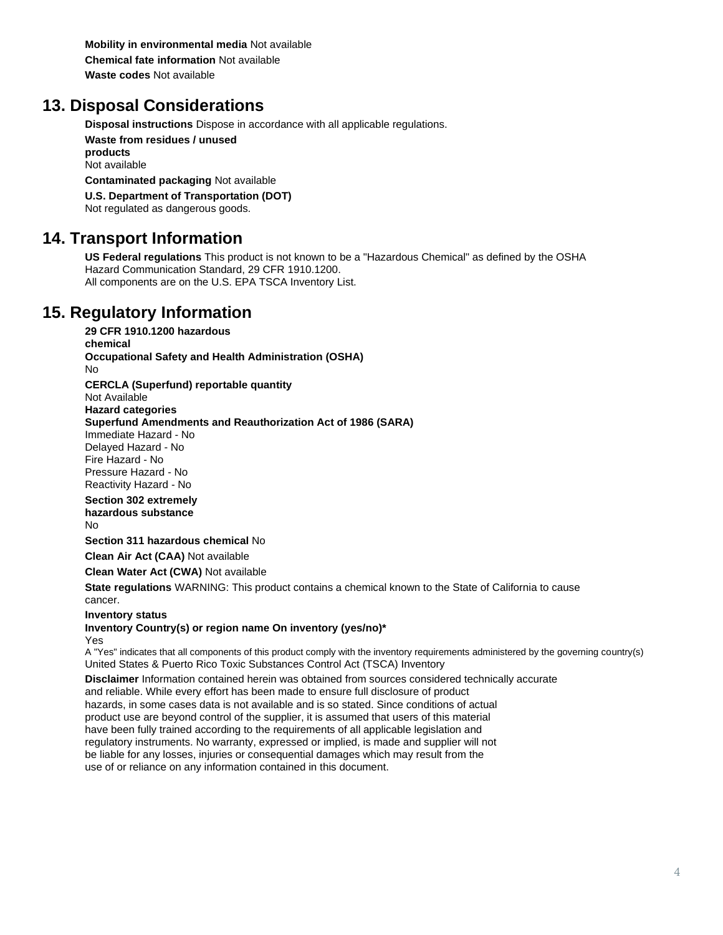**Mobility in environmental media** Not available **Chemical fate information** Not available **Waste codes** Not available

# **13. Disposal Considerations**

**Disposal instructions** Dispose in accordance with all applicable regulations.

**Waste from residues / unused products** Not available

**Contaminated packaging** Not available

**U.S. Department of Transportation (DOT)**

Not regulated as dangerous goods.

# **14. Transport Information**

**US Federal regulations** This product is not known to be a "Hazardous Chemical" as defined by the OSHA Hazard Communication Standard, 29 CFR 1910.1200. All components are on the U.S. EPA TSCA Inventory List.

# **15. Regulatory Information**

**29 CFR 1910.1200 hazardous**

**chemical Occupational Safety and Health Administration (OSHA)**

No

**CERCLA (Superfund) reportable quantity**

Not Available

**Hazard categories Superfund Amendments and Reauthorization Act of 1986 (SARA)**

Immediate Hazard - No

Delayed Hazard - No Fire Hazard - No Pressure Hazard - No

Reactivity Hazard - No

Section 302 extremely **hazardous substance**

No

**Section 311 hazardous chemical No** 

**Clean Air Act (CAA)** Not available

**Clean Water Act (CWA)** Not available

**State regulations** WARNING: This product contains a chemical known to the State of California to cause cancer.

**Inventory status**

#### **Inventory Country(s) or region name On inventory (yes/no)\***

Yes

A "Yes" indicates that all components of this product comply with the inventory requirements administered by the governing country(s) United States & Puerto Rico Toxic Substances Control Act (TSCA) Inventory

**Disclaimer** Information contained herein was obtained from sources considered technically accurate and reliable. While every effort has been made to ensure full disclosure of product hazards, in some cases data is not available and is so stated. Since conditions of actual product use are beyond control of the supplier, it is assumed that users of this material have been fully trained according to the requirements of all applicable legislation and regulatory instruments. No warranty, expressed or implied, is made and supplier will not be liable for any losses, injuries or consequential damages which may result from the use of or reliance on any information contained in this document.